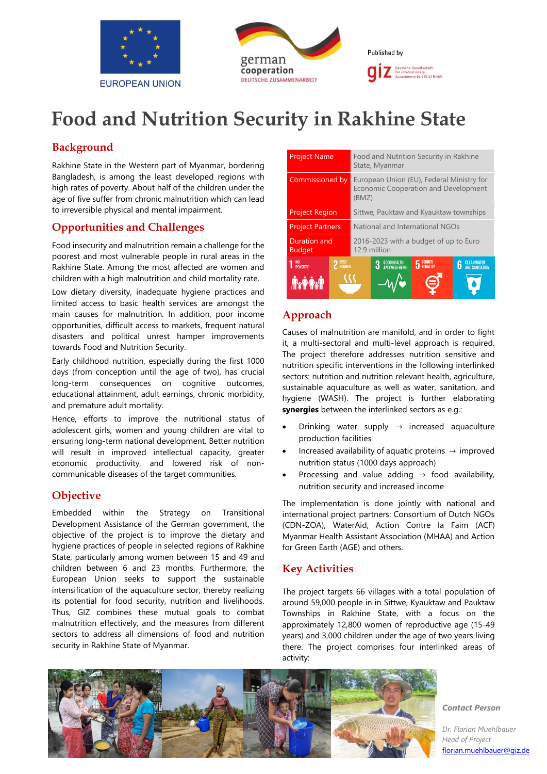



# **Food and Nutrition Security in Rakhine State**

# **Background**

Rakhine State in the Western part of Myanmar, bordering Bangladesh, is among the least developed regions with high rates of poverty. About half of the children under the age of five suffer from chronic malnutrition which can lead to irreversible physical and mental impairment.

# **Opportunities and Challenges**

Food insecurity and malnutrition remain a challenge for the poorest and most vulnerable people in rural areas in the Rakhine State. Among the most affected are women and children with a high malnutrition and child mortality rate.

Low dietary diversity, inadequate hygiene practices and limited access to basic health services are amongst the main causes for malnutrition. In addition, poor income opportunities, difficult access to markets, frequent natural disasters and political unrest hamper improvements towards Food and Nutrition Security.

Early childhood nutrition, especially during the first 1000 days (from conception until the age of two), has crucial long-term consequences on cognitive outcomes, educational attainment, adult earnings, chronic morbidity, and premature adult mortality.

Hence, efforts to improve the nutritional status of adolescent girls, women and young children are vital to ensuring long-term national development. Better nutrition will result in improved intellectual capacity, greater economic productivity, and lowered risk of noncommunicable diseases of the target communities.

# **Objective**

Embedded within the Strategy on Transitional Development Assistance of the German government, the objective of the project is to improve the dietary and hygiene practices of people in selected regions of Rakhine State, particularly among women between 15 and 49 and children between 6 and 23 months. Furthermore, the European Union seeks to support the sustainable intensification of the aquaculture sector, thereby realizing its potential for food security, nutrition and livelihoods. Thus, GIZ combines these mutual goals to combat malnutrition effectively, and the measures from different sectors to address all dimensions of food and nutrition security in Rakhine State of Myanmar.

| <b>Project Name</b>                       | Food and Nutrition Security in Rakhine<br>State, Myanmar                                                     |  |  |  |
|-------------------------------------------|--------------------------------------------------------------------------------------------------------------|--|--|--|
| Commissioned by                           | European Union (EU), Federal Ministry for<br><b>Economic Cooperation and Development</b><br>(BMZ)            |  |  |  |
| <b>Project Region</b>                     | Sittwe, Pauktaw and Kyauktaw townships                                                                       |  |  |  |
| <b>Project Partners</b>                   | National and International NGOs                                                                              |  |  |  |
| Duration and<br><b>Budget</b>             | 2016-2023 with a budget of up to Euro<br>12.9 million                                                        |  |  |  |
| 2 <sup>ZERO</sup> HUNGER<br>NO<br>Poverty | <b>5</b> EQUALITY<br><b>GOOD HEALTH<br/>AND WELL-BEING</b><br><b>CLEAN WATER</b><br>AND SANITATION<br>3<br>6 |  |  |  |
|                                           |                                                                                                              |  |  |  |

# **Approach**

Causes of malnutrition are manifold, and in order to fight it, a multi-sectoral and multi-level approach is required. The project therefore addresses nutrition sensitive and nutrition specific interventions in the following interlinked sectors: nutrition and nutrition relevant health, agriculture, sustainable aquaculture as well as water, sanitation, and hygiene (WASH). The project is further elaborating **synergies** between the interlinked sectors as e.g.:

- Drinking water supply  $\rightarrow$  increased aquaculture production facilities
- Increased availability of aquatic proteins  $\rightarrow$  improved nutrition status (1000 days approach)
- Processing and value adding  $\rightarrow$  food availability, nutrition security and increased income

The implementation is done jointly with national and international project partners: Consortium of Dutch NGOs (CDN-ZOA), WaterAid, Action Contre la Faim (ACF) Myanmar Health Assistant Association (MHAA) and Action for Green Earth (AGE) and others.

# **Key Activities**

The project targets 66 villages with a total population of around 59,000 people in in Sittwe, Kyauktaw and Pauktaw Townships in Rakhine State, with a focus on the approximately 12,800 women of reproductive age (15-49 years) and 3,000 children under the age of two years living there. The project comprises four interlinked areas of activity:



*Contact Person*

*Dr. Florian Muehlbauer Head of Project*  [florian.muehlbauer@giz.de](mailto:florian.muehlbauer@giz.de)